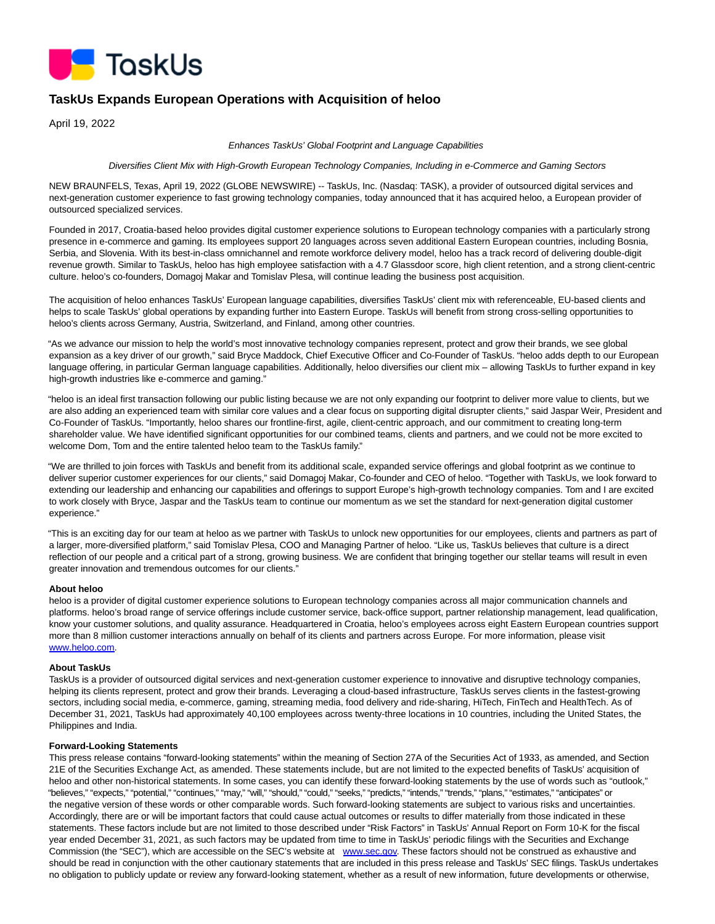

# **TaskUs Expands European Operations with Acquisition of heloo**

April 19, 2022

#### Enhances TaskUs' Global Footprint and Language Capabilities

Diversifies Client Mix with High-Growth European Technology Companies, Including in e-Commerce and Gaming Sectors

NEW BRAUNFELS, Texas, April 19, 2022 (GLOBE NEWSWIRE) -- TaskUs, Inc. (Nasdaq: TASK), a provider of outsourced digital services and next-generation customer experience to fast growing technology companies, today announced that it has acquired heloo, a European provider of outsourced specialized services.

Founded in 2017, Croatia-based heloo provides digital customer experience solutions to European technology companies with a particularly strong presence in e-commerce and gaming. Its employees support 20 languages across seven additional Eastern European countries, including Bosnia, Serbia, and Slovenia. With its best-in-class omnichannel and remote workforce delivery model, heloo has a track record of delivering double-digit revenue growth. Similar to TaskUs, heloo has high employee satisfaction with a 4.7 Glassdoor score, high client retention, and a strong client-centric culture. heloo's co-founders, Domagoj Makar and Tomislav Plesa, will continue leading the business post acquisition.

The acquisition of heloo enhances TaskUs' European language capabilities, diversifies TaskUs' client mix with referenceable, EU-based clients and helps to scale TaskUs' global operations by expanding further into Eastern Europe. TaskUs will benefit from strong cross-selling opportunities to heloo's clients across Germany, Austria, Switzerland, and Finland, among other countries.

"As we advance our mission to help the world's most innovative technology companies represent, protect and grow their brands, we see global expansion as a key driver of our growth," said Bryce Maddock, Chief Executive Officer and Co-Founder of TaskUs. "heloo adds depth to our European language offering, in particular German language capabilities. Additionally, heloo diversifies our client mix – allowing TaskUs to further expand in key high-growth industries like e-commerce and gaming."

"heloo is an ideal first transaction following our public listing because we are not only expanding our footprint to deliver more value to clients, but we are also adding an experienced team with similar core values and a clear focus on supporting digital disrupter clients," said Jaspar Weir, President and Co-Founder of TaskUs. "Importantly, heloo shares our frontline-first, agile, client-centric approach, and our commitment to creating long-term shareholder value. We have identified significant opportunities for our combined teams, clients and partners, and we could not be more excited to welcome Dom, Tom and the entire talented heloo team to the TaskUs family."

"We are thrilled to join forces with TaskUs and benefit from its additional scale, expanded service offerings and global footprint as we continue to deliver superior customer experiences for our clients," said Domagoj Makar, Co-founder and CEO of heloo. "Together with TaskUs, we look forward to extending our leadership and enhancing our capabilities and offerings to support Europe's high-growth technology companies. Tom and I are excited to work closely with Bryce, Jaspar and the TaskUs team to continue our momentum as we set the standard for next-generation digital customer experience."

"This is an exciting day for our team at heloo as we partner with TaskUs to unlock new opportunities for our employees, clients and partners as part of a larger, more-diversified platform," said Tomislav Plesa, COO and Managing Partner of heloo. "Like us, TaskUs believes that culture is a direct reflection of our people and a critical part of a strong, growing business. We are confident that bringing together our stellar teams will result in even greater innovation and tremendous outcomes for our clients."

### **About heloo**

heloo is a provider of digital customer experience solutions to European technology companies across all major communication channels and platforms. heloo's broad range of service offerings include customer service, back-office support, partner relationship management, lead qualification, know your customer solutions, and quality assurance. Headquartered in Croatia, heloo's employees across eight Eastern European countries support more than 8 million customer interactions annually on behalf of its clients and partners across Europe. For more information, please visit [www.heloo.com.](https://www.globenewswire.com/Tracker?data=P66-umuHg5G1SUuP2uccZ2rFCddgjC1ktZJp5Onc9IJAtGQGiuHGN81i0So679H9KGAlhImXBLDIMRvhe_Ykqw==)

### **About TaskUs**

TaskUs is a provider of outsourced digital services and next-generation customer experience to innovative and disruptive technology companies, helping its clients represent, protect and grow their brands. Leveraging a cloud-based infrastructure, TaskUs serves clients in the fastest-growing sectors, including social media, e-commerce, gaming, streaming media, food delivery and ride-sharing, HiTech, FinTech and HealthTech. As of December 31, 2021, TaskUs had approximately 40,100 employees across twenty-three locations in 10 countries, including the United States, the Philippines and India.

#### **Forward-Looking Statements**

This press release contains "forward-looking statements" within the meaning of Section 27A of the Securities Act of 1933, as amended, and Section 21E of the Securities Exchange Act, as amended. These statements include, but are not limited to the expected benefits of TaskUs' acquisition of heloo and other non-historical statements. In some cases, you can identify these forward-looking statements by the use of words such as "outlook," "believes," "expects," "potential," "continues," "may," "will," "should," "could," "seeks," "predicts," "intends," "trends," "plans," "estimates," "anticipates" or the negative version of these words or other comparable words. Such forward-looking statements are subject to various risks and uncertainties. Accordingly, there are or will be important factors that could cause actual outcomes or results to differ materially from those indicated in these statements. These factors include but are not limited to those described under "Risk Factors" in TaskUs' Annual Report on Form 10-K for the fiscal year ended December 31, 2021, as such factors may be updated from time to time in TaskUs' periodic filings with the Securities and Exchange Commission (the "SEC"), which are accessible on the SEC's website at [www.sec.gov.](https://www.globenewswire.com/Tracker?data=KBXHitY9nsYCgr2L0BM9yVx0IENYZvreN8Oadm23ZWWQu4hFdFQH4XYlZQhwZvGOJvEqM3ehNSCADEkDbYUrxA==) These factors should not be construed as exhaustive and should be read in conjunction with the other cautionary statements that are included in this press release and TaskUs' SEC filings. TaskUs undertakes no obligation to publicly update or review any forward-looking statement, whether as a result of new information, future developments or otherwise,